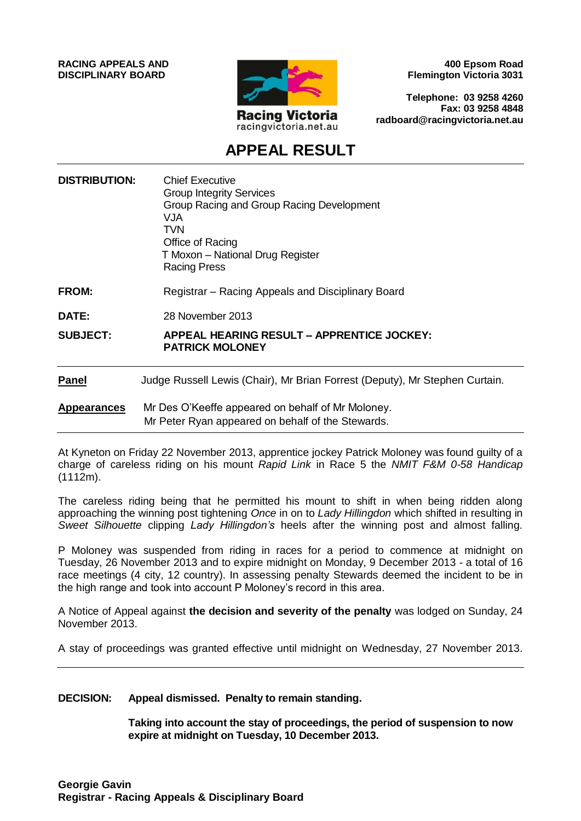**RACING APPEALS AND DISCIPLINARY BOARD**



**400 Epsom Road Flemington Victoria 3031**

**Telephone: 03 9258 4260 Fax: 03 9258 4848 radboard@racingvictoria.net.au**

## **APPEAL RESULT**

| <b>DISTRIBUTION:</b> | <b>Chief Executive</b><br><b>Group Integrity Services</b><br>Group Racing and Group Racing Development<br><b>VJA</b><br><b>TVN</b><br>Office of Racing<br>T Moxon - National Drug Register<br><b>Racing Press</b> |
|----------------------|-------------------------------------------------------------------------------------------------------------------------------------------------------------------------------------------------------------------|
| <b>FROM:</b>         | Registrar - Racing Appeals and Disciplinary Board                                                                                                                                                                 |
| DATE:                | 28 November 2013                                                                                                                                                                                                  |
| <b>SUBJECT:</b>      | <b>APPEAL HEARING RESULT - APPRENTICE JOCKEY:</b><br><b>PATRICK MOLONEY</b>                                                                                                                                       |
| <b>Panel</b>         | Judge Russell Lewis (Chair), Mr Brian Forrest (Deputy), Mr Stephen Curtain.                                                                                                                                       |
| <b>Appearances</b>   | Mr Des O'Keeffe appeared on behalf of Mr Moloney.<br>Mr Peter Ryan appeared on behalf of the Stewards.                                                                                                            |

At Kyneton on Friday 22 November 2013, apprentice jockey Patrick Moloney was found guilty of a charge of careless riding on his mount *Rapid Link* in Race 5 the *NMIT F&M 0-58 Handicap*  (1112m).

The careless riding being that he permitted his mount to shift in when being ridden along approaching the winning post tightening *Once* in on to *Lady Hillingdon* which shifted in resulting in *Sweet Silhouette* clipping *Lady Hillingdon's* heels after the winning post and almost falling.

P Moloney was suspended from riding in races for a period to commence at midnight on Tuesday, 26 November 2013 and to expire midnight on Monday, 9 December 2013 - a total of 16 race meetings (4 city, 12 country). In assessing penalty Stewards deemed the incident to be in the high range and took into account P Moloney's record in this area.

A Notice of Appeal against **the decision and severity of the penalty** was lodged on Sunday, 24 November 2013.

A stay of proceedings was granted effective until midnight on Wednesday, 27 November 2013.

#### **DECISION: Appeal dismissed. Penalty to remain standing.**

**Taking into account the stay of proceedings, the period of suspension to now expire at midnight on Tuesday, 10 December 2013.**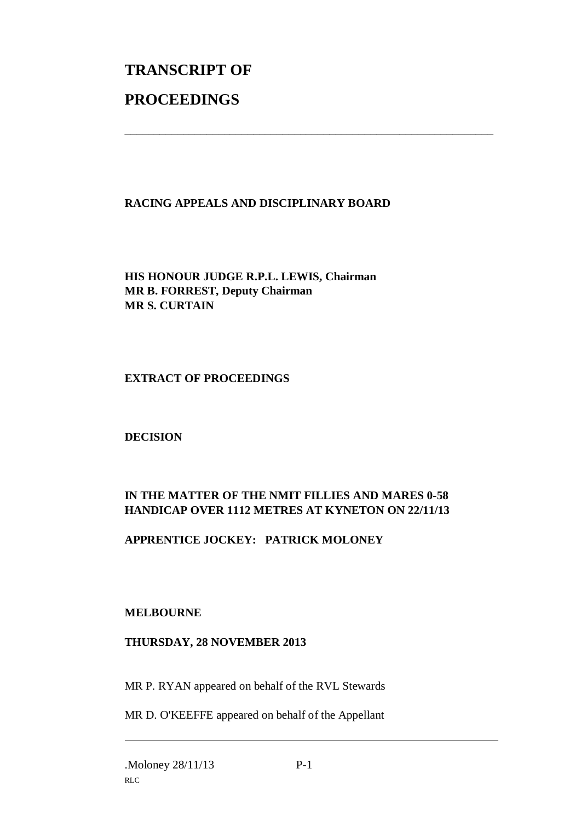# **TRANSCRIPT OF PROCEEDINGS**

#### **RACING APPEALS AND DISCIPLINARY BOARD**

\_\_\_\_\_\_\_\_\_\_\_\_\_\_\_\_\_\_\_\_\_\_\_\_\_\_\_\_\_\_\_\_\_\_\_\_\_\_\_\_\_\_\_\_\_\_\_\_\_\_\_\_\_\_\_\_\_\_\_\_\_\_\_

**HIS HONOUR JUDGE R.P.L. LEWIS, Chairman MR B. FORREST, Deputy Chairman MR S. CURTAIN**

#### **EXTRACT OF PROCEEDINGS**

**DECISION**

### **IN THE MATTER OF THE NMIT FILLIES AND MARES 0-58 HANDICAP OVER 1112 METRES AT KYNETON ON 22/11/13**

### **APPRENTICE JOCKEY: PATRICK MOLONEY**

#### **MELBOURNE**

#### **THURSDAY, 28 NOVEMBER 2013**

MR P. RYAN appeared on behalf of the RVL Stewards

MR D. O'KEEFFE appeared on behalf of the Appellant